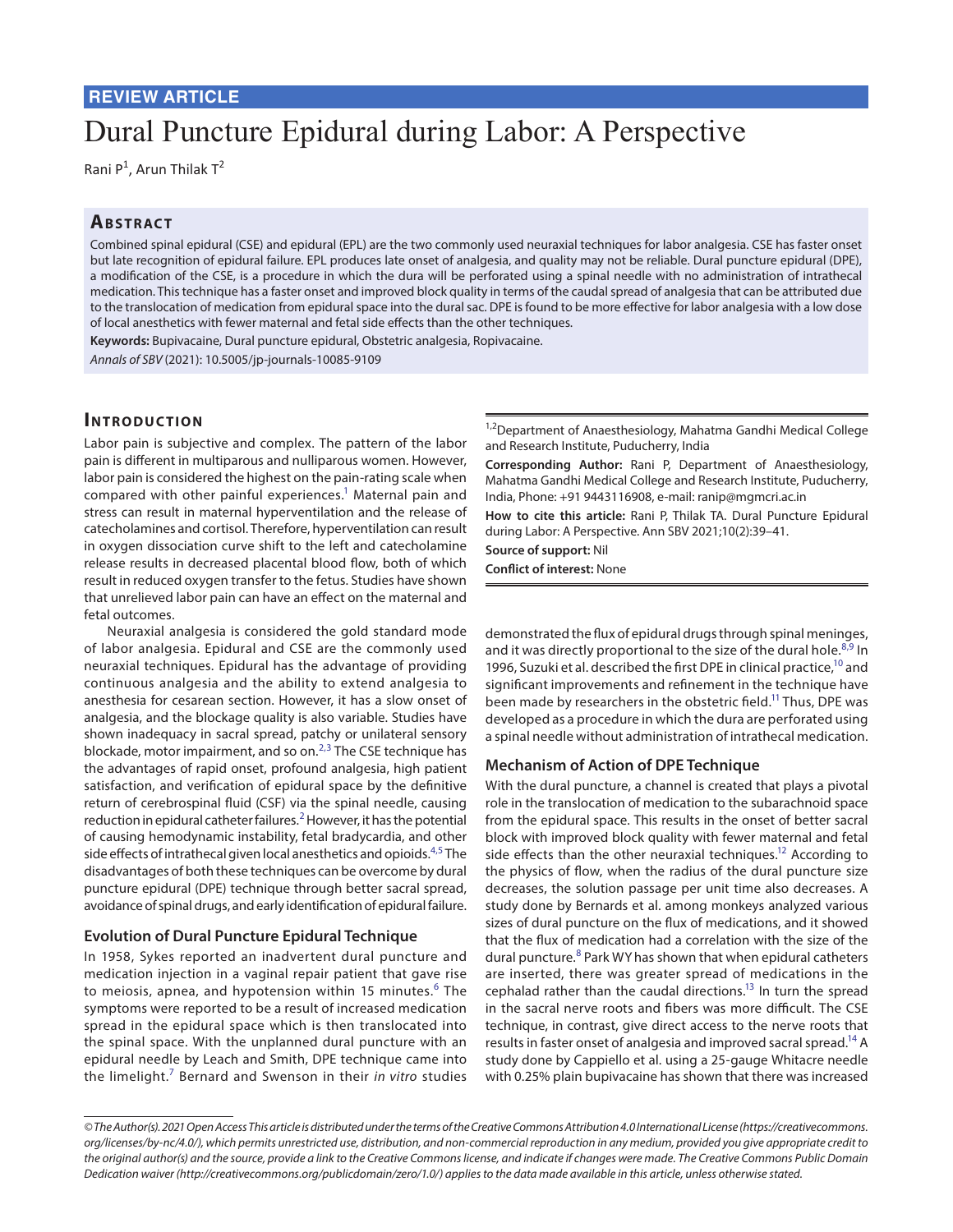# Dural Puncture Epidural during Labor: A Perspective

Rani P<sup>1</sup>, Arun Thilak T<sup>2</sup>

## **ABSTRACT**

Combined spinal epidural (CSE) and epidural (EPL) are the two commonly used neuraxial techniques for labor analgesia. CSE has faster onset but late recognition of epidural failure. EPL produces late onset of analgesia, and quality may not be reliable. Dural puncture epidural (DPE), a modification of the CSE, is a procedure in which the dura will be perforated using a spinal needle with no administration of intrathecal medication. This technique has a faster onset and improved block quality in terms of the caudal spread of analgesia that can be attributed due to the translocation of medication from epidural space into the dural sac. DPE is found to be more effective for labor analgesia with a low dose of local anesthetics with fewer maternal and fetal side effects than the other techniques.

**Keywords:** Bupivacaine, Dural puncture epidural, Obstetric analgesia, Ropivacaine.

*Annals of SBV* (2021): 10.5005/jp-journals-10085-9109

### **Introduc tion**

Labor pain is subjective and complex. The pattern of the labor pain is different in multiparous and nulliparous women. However, labor pain is considered the highest on the pain-rating scale when compared with other painful experiences.<sup>1</sup> Maternal pain and stress can result in maternal hyperventilation and the release of catecholamines and cortisol. Therefore, hyperventilation can result in oxygen dissociation curve shift to the left and catecholamine release results in decreased placental blood flow, both of which result in reduced oxygen transfer to the fetus. Studies have shown that unrelieved labor pain can have an effect on the maternal and fetal outcomes.

Neuraxial analgesia is considered the gold standard mode of labor analgesia. Epidural and CSE are the commonly used neuraxial techniques. Epidural has the advantage of providing continuous analgesia and the ability to extend analgesia to anesthesia for cesarean section. However, it has a slow onset of analgesia, and the blockage quality is also variable. Studies have shown inadequacy in sacral spread, patchy or unilateral sensory blockade, motor impairment, and so on.<sup>[2](#page-2-1),[3](#page-2-2)</sup> The CSE technique has the advantages of rapid onset, profound analgesia, high patient satisfaction, and verification of epidural space by the definitive return of cerebrospinal fluid (CSF) via the spinal needle, causing reduction in epidural catheter failures. $^2$  $^2$  However, it has the potential of causing hemodynamic instability, fetal bradycardia, and other side effects of intrathecal given local anesthetics and opioids.<sup>[4](#page-2-3)[,5](#page-2-4)</sup> The disadvantages of both these techniques can be overcome by dural puncture epidural (DPE) technique through better sacral spread, avoidance of spinal drugs, and early identification of epidural failure.

#### **Evolution of Dural Puncture Epidural Technique**

In 1958, Sykes reported an inadvertent dural puncture and medication injection in a vaginal repair patient that gave rise to meiosis, apnea, and hypotension within 15 minutes.<sup>[6](#page-2-5)</sup> The symptoms were reported to be a result of increased medication spread in the epidural space which is then translocated into the spinal space. With the unplanned dural puncture with an epidural needle by Leach and Smith, DPE technique came into the limelight.[7](#page-2-6) Bernard and Swenson in their *in vitro* studies

<sup>1,2</sup>Department of Anaesthesiology, Mahatma Gandhi Medical College and Research Institute, Puducherry, India

**Corresponding Author:** Rani P, Department of Anaesthesiology, Mahatma Gandhi Medical College and Research Institute, Puducherry, India, Phone: +91 9443116908, e-mail: ranip@mgmcri.ac.in

**How to cite this article:** Rani P, Thilak TA. Dural Puncture Epidural during Labor: A Perspective. Ann SBV 2021;10(2):39–41.

**Source of support:** Nil

**Conflict of interest:** None

demonstrated the flux of epidural drugs through spinal meninges, and it was directly proportional to the size of the dural hole. $^{8,9}$  $^{8,9}$  $^{8,9}$  $^{8,9}$  $^{8,9}$  In 1996, Suzuki et al. described the first DPE in clinical practice,<sup>10</sup> and significant improvements and refinement in the technique have been made by researchers in the obstetric field.<sup>11</sup> Thus, DPE was developed as a procedure in which the dura are perforated using a spinal needle without administration of intrathecal medication.

#### **Mechanism of Action of DPE Technique**

With the dural puncture, a channel is created that plays a pivotal role in the translocation of medication to the subarachnoid space from the epidural space. This results in the onset of better sacral block with improved block quality with fewer maternal and fetal side effects than the other neuraxial techniques.<sup>12</sup> According to the physics of flow, when the radius of the dural puncture size decreases, the solution passage per unit time also decreases. A study done by Bernards et al. among monkeys analyzed various sizes of dural puncture on the flux of medications, and it showed that the flux of medication had a correlation with the size of the dural puncture.<sup>[8](#page-2-7)</sup> Park WY has shown that when epidural catheters are inserted, there was greater spread of medications in the cephalad rather than the caudal directions.<sup>13</sup> In turn the spread in the sacral nerve roots and fibers was more difficult. The CSE technique, in contrast, give direct access to the nerve roots that results in faster onset of analgesia and improved sacral spread.<sup>14</sup> A study done by Cappiello et al. using a 25-gauge Whitacre needle with 0.25% plain bupivacaine has shown that there was increased

*<sup>©</sup> The Author(s). 2021 Open Access This article is distributed under the terms of the Creative Commons Attribution 4.0 International License ([https://creativecommons.](https://creativecommons. org/licenses/by-nc/4.0/)  [org/licenses/by-nc/4.0/](https://creativecommons. org/licenses/by-nc/4.0/)), which permits unrestricted use, distribution, and non-commercial reproduction in any medium, provided you give appropriate credit to the original author(s) and the source, provide a link to the Creative Commons license, and indicate if changes were made. The Creative Commons Public Domain Dedication waiver ([http://creativecommons.org/publicdomain/zero/1.0/\)](http://creativecommons.org/publicdomain/zero/1.0/) applies to the data made available in this article, unless otherwise stated.*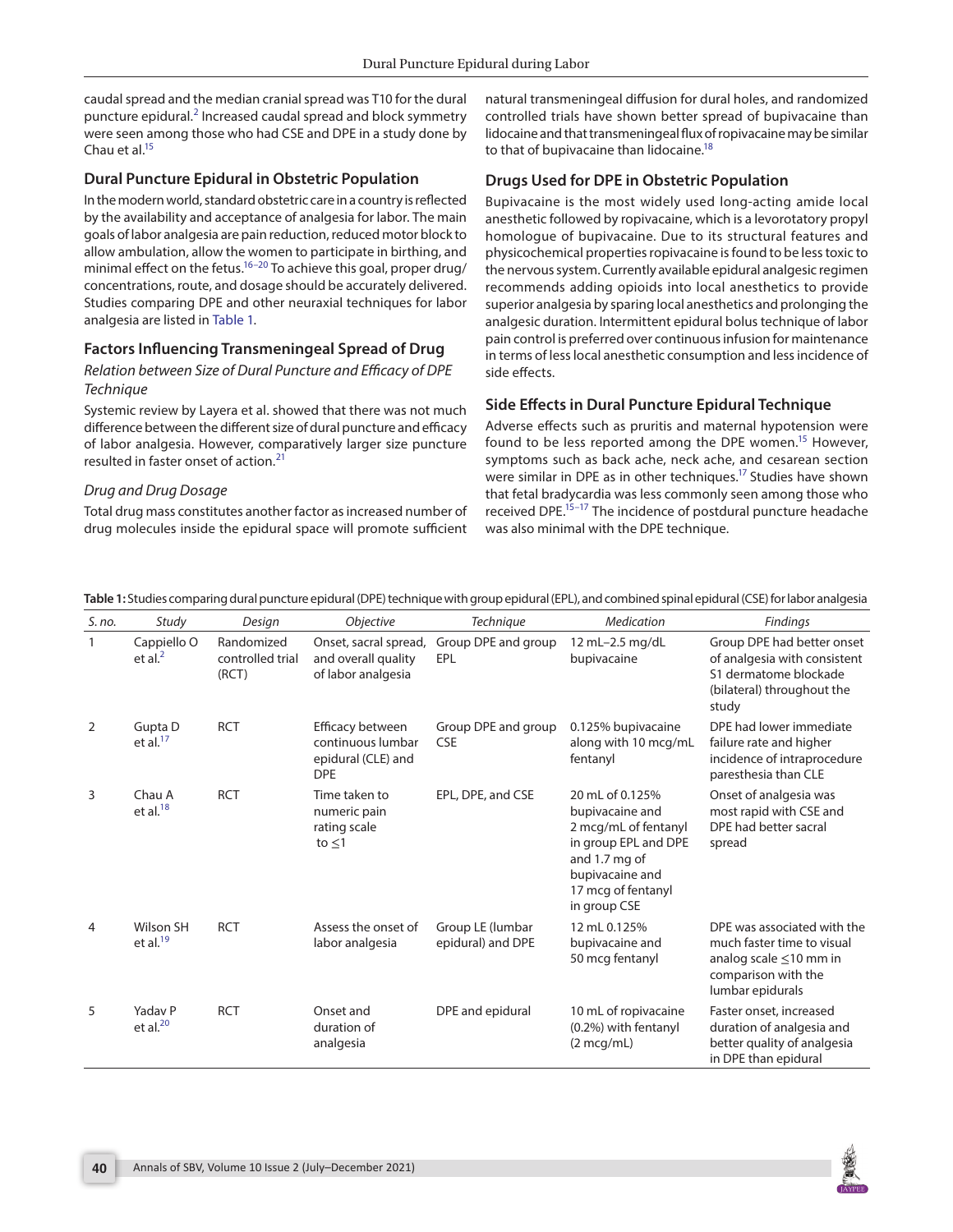caudal spread and the median cranial spread was T10 for the dural puncture epidural.<sup>[2](#page-2-1)</sup> Increased caudal spread and block symmetry were seen among those who had CSE and DPE in a study done by Chau et al.<sup>15</sup>

## **Dural Puncture Epidural in Obstetric Population**

In the modern world, standard obstetric care in a country is reflected by the availability and acceptance of analgesia for labor. The main goals of labor analgesia are pain reduction, reduced motor block to allow ambulation, allow the women to participate in birthing, and minimal effect on the fetus.<sup>16–[20](#page-2-16)</sup> To achieve this goal, proper drug/ concentrations, route, and dosage should be accurately delivered. Studies comparing DPE and other neuraxial techniques for labor analgesia are listed in [Table 1.](#page-1-0)

## **Factors Influencing Transmeningeal Spread of Drug**

### *Relation between Size of Dural Puncture and Efficacy of DPE Technique*

Systemic review by Layera et al. showed that there was not much difference between the different size of dural puncture and efficacy of labor analgesia. However, comparatively larger size puncture resulted in faster onset of action.<sup>[21](#page-2-17)</sup>

#### *Drug and Drug Dosage*

Total drug mass constitutes another factor as increased number of drug molecules inside the epidural space will promote sufficient

natural transmeningeal diffusion for dural holes, and randomized controlled trials have shown better spread of bupivacaine than lidocaine and that transmeningeal flux of ropivacaine may be similar to that of bupivacaine than lidocaine.<sup>18</sup>

## **Drugs Used for DPE in Obstetric Population**

Bupivacaine is the most widely used long-acting amide local anesthetic followed by ropivacaine, which is a levorotatory propyl homologue of bupivacaine. Due to its structural features and physicochemical properties ropivacaine is found to be less toxic to the nervous system. Currently available epidural analgesic regimen recommends adding opioids into local anesthetics to provide superior analgesia by sparing local anesthetics and prolonging the analgesic duration. Intermittent epidural bolus technique of labor pain control is preferred over continuous infusion for maintenance in terms of less local anesthetic consumption and less incidence of side effects.

## **Side Effects in Dural Puncture Epidural Technique**

Adverse effects such as pruritis and maternal hypotension were found to be less reported among the DPE women.<sup>15</sup> However, symptoms such as back ache, neck ache, and cesarean section were similar in DPE as in other techniques.<sup>17</sup> Studies have shown that fetal bradycardia was less commonly seen among those who received DPE.<sup>15-17</sup> The incidence of postdural puncture headache was also minimal with the DPE technique.

| S. no.         | Study                     | Design                                  | <b>Objective</b>                                                          | <b>Technique</b>                      | Medication                                                                                                                                                   | <b>Findings</b>                                                                                                                      |
|----------------|---------------------------|-----------------------------------------|---------------------------------------------------------------------------|---------------------------------------|--------------------------------------------------------------------------------------------------------------------------------------------------------------|--------------------------------------------------------------------------------------------------------------------------------------|
| $\mathbf{1}$   | Cappiello O<br>et al. $2$ | Randomized<br>controlled trial<br>(RCT) | Onset, sacral spread,<br>and overall quality<br>of labor analgesia        | Group DPE and group<br>EPL            | 12 mL-2.5 mg/dL<br>bupivacaine                                                                                                                               | Group DPE had better onset<br>of analgesia with consistent<br>S1 dermatome blockade<br>(bilateral) throughout the<br>study           |
| 2              | Gupta D<br>et al. $17$    | <b>RCT</b>                              | Efficacy between<br>continuous lumbar<br>epidural (CLE) and<br><b>DPE</b> | Group DPE and group<br><b>CSE</b>     | 0.125% bupivacaine<br>along with 10 mcg/mL<br>fentanyl                                                                                                       | DPE had lower immediate<br>failure rate and higher<br>incidence of intraprocedure<br>paresthesia than CLE                            |
| $\overline{3}$ | Chau A<br>et al. $^{18}$  | <b>RCT</b>                              | Time taken to<br>numeric pain<br>rating scale<br>to $\leq$ 1              | EPL, DPE, and CSE                     | 20 mL of 0.125%<br>bupivacaine and<br>2 mcg/mL of fentanyl<br>in group EPL and DPE<br>and 1.7 mg of<br>bupivacaine and<br>17 mcg of fentanyl<br>in group CSE | Onset of analgesia was<br>most rapid with CSE and<br>DPE had better sacral<br>spread                                                 |
| $\overline{4}$ | Wilson SH<br>et al. $19$  | <b>RCT</b>                              | Assess the onset of<br>labor analgesia                                    | Group LE (lumbar<br>epidural) and DPE | 12 mL 0.125%<br>bupivacaine and<br>50 mcg fentanyl                                                                                                           | DPE was associated with the<br>much faster time to visual<br>analog scale $\leq$ 10 mm in<br>comparison with the<br>lumbar epidurals |
| 5              | Yadav P<br>et al. $20$    | <b>RCT</b>                              | Onset and<br>duration of<br>analgesia                                     | DPE and epidural                      | 10 mL of ropivacaine<br>(0.2%) with fentanyl<br>$(2 \text{mcg/mL})$                                                                                          | Faster onset, increased<br>duration of analgesia and<br>better quality of analgesia<br>in DPE than epidural                          |

<span id="page-1-0"></span>**Table 1:** Studies comparing dural puncture epidural (DPE) technique with group epidural (EPL), and combined spinal epidural (CSE) for labor analgesia